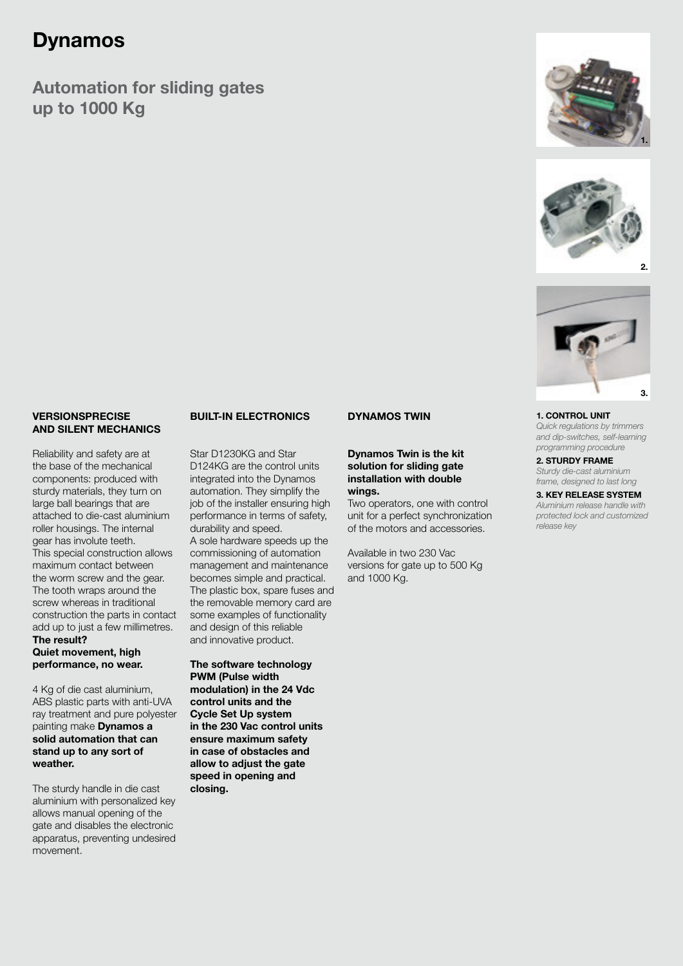### Dynamos

Automation for sliding gates up to 1000 Kg







1. CONTROL UNIT

*Quick regulations by trimmers and dip-switches, self-learning programming procedure*

2. STURDY FRAME *Sturdy die-cast aluminium frame, designed to last long*

3. KEY RELEASE SYSTEM *Aluminium release handle with protected lock and customized release key* 

#### VERSIONSPRECISE AND SILENT MECHANICS

Reliability and safety are at the base of the mechanical components: produced with sturdy materials, they turn on large ball bearings that are attached to die-cast aluminium roller housings. The internal gear has involute teeth. This special construction allows maximum contact between the worm screw and the gear. The tooth wraps around the screw whereas in traditional construction the parts in contact add up to just a few millimetres. The result?

#### Quiet movement, high performance, no wear.

4 Kg of die cast aluminium, ABS plastic parts with anti-UVA ray treatment and pure polyester painting make Dynamos a solid automation that can stand up to any sort of weather.

The sturdy handle in die cast aluminium with personalized key allows manual opening of the gate and disables the electronic apparatus, preventing undesired movement.

### BUILT-IN ELECTRONICS

Star D1230KG and Star D124KG are the control units integrated into the Dynamos automation. They simplify the job of the installer ensuring high performance in terms of safety, durability and speed. A sole hardware speeds up the commissioning of automation management and maintenance becomes simple and practical. The plastic box, spare fuses and the removable memory card are some examples of functionality and design of this reliable and innovative product.

The software technology PWM (Pulse width modulation) in the 24 Vdc control units and the Cycle Set Up system in the 230 Vac control units ensure maximum safety in case of obstacles and allow to adjust the gate speed in opening and closing.

### DYNAMOS TWIN

Dynamos Twin is the kit solution for sliding gate installation with double wings.

Two operators, one with control unit for a perfect synchronization of the motors and accessories.

Available in two 230 Vac versions for gate up to 500 Kg and 1000 Kg.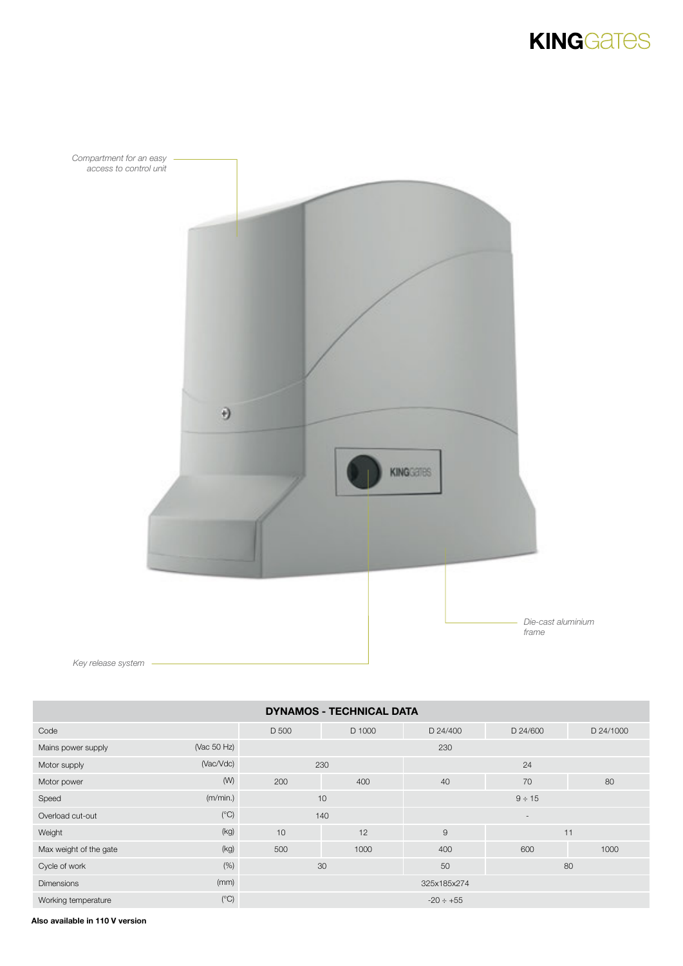# **KINGGATES**



*Key release system*

| <b>DYNAMOS - TECHNICAL DATA</b> |              |                |        |                          |          |           |  |
|---------------------------------|--------------|----------------|--------|--------------------------|----------|-----------|--|
| Code                            |              | D 500          | D 1000 | D 24/400                 | D 24/600 | D 24/1000 |  |
| Mains power supply              | (Vac 50 Hz)  | 230            |        |                          |          |           |  |
| Motor supply                    | (Vac/Vdc)    |                | 230    | 24                       |          |           |  |
| Motor power                     | (W)          | 200<br>400     |        | 40                       | 70       | 80        |  |
| Speed                           | (m/min.)     |                | 10     | $9 \div 15$              |          |           |  |
| Overload cut-out                | (C)          |                | 140    | $\overline{\phantom{a}}$ |          |           |  |
| Weight                          | (kg)         | 10             | 12     | 9<br>11                  |          |           |  |
| Max weight of the gate          | (kg)         | 500            | 1000   | 400                      | 600      | 1000      |  |
| Cycle of work                   | $(\%)$       | 30             |        | 50                       | 80       |           |  |
| <b>Dimensions</b>               | (mm)         | 325x185x274    |        |                          |          |           |  |
| Working temperature             | $(^\circ C)$ | $-20 \div +55$ |        |                          |          |           |  |

Also available in 110 V version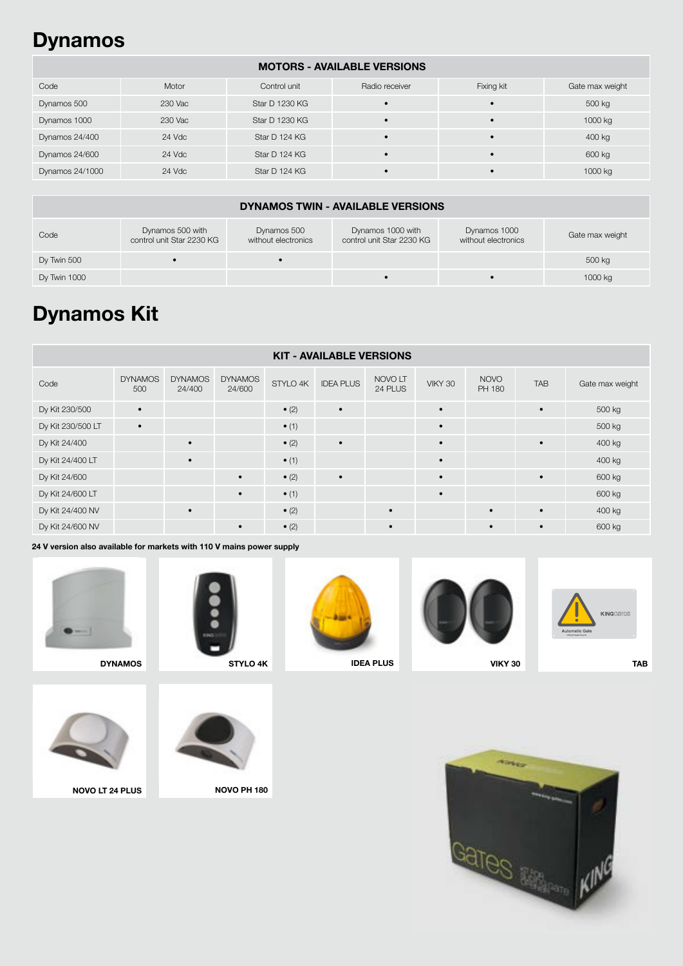### Dynamos

### MOTORS - AVAILABLE VERSIONS

| Code            | Motor   | Control unit   | Radio receiver | Fixing kit | Gate max weight |
|-----------------|---------|----------------|----------------|------------|-----------------|
| Dynamos 500     | 230 Vac | Star D 1230 KG |                |            | 500 kg          |
| Dynamos 1000    | 230 Vac | Star D 1230 KG |                | $\bullet$  | 1000 kg         |
| Dynamos 24/400  | 24 Vdc  | Star D 124 KG  | $\bullet$      | $\bullet$  | 400 kg          |
| Dynamos 24/600  | 24 Vdc  | Star D 124 KG  |                | $\bullet$  | 600 kg          |
| Dynamos 24/1000 | 24 Vdc  | Star D 124 KG  |                | $\bullet$  | 1000 kg         |

#### DYNAMOS TWIN - AVAILABLE VERSIONS Code Dynamos 500 with control unit Star 2230 KG Dynamos 500 without electronics Dynamos 1000 with control unit Star 2230 KG Dynamos 1000 Dynamos 1000<br>without electronics Gate max weight Dy Twin 500 • • 500 kg Dy Twin 1000 • • 1000 kg

# Dynamos Kit

| <b>KIT - AVAILABLE VERSIONS</b> |                       |                          |                          |               |                  |                    |           |                       |            |                 |
|---------------------------------|-----------------------|--------------------------|--------------------------|---------------|------------------|--------------------|-----------|-----------------------|------------|-----------------|
| Code                            | <b>DYNAMOS</b><br>500 | <b>DYNAMOS</b><br>24/400 | <b>DYNAMOS</b><br>24/600 | STYLO 4K      | <b>IDEA PLUS</b> | NOVO LT<br>24 PLUS | VIKY 30   | <b>NOVO</b><br>PH 180 | <b>TAB</b> | Gate max weight |
| Dy Kit 230/500                  | $\bullet$             |                          |                          | $\bullet$ (2) | $\bullet$        |                    | $\bullet$ |                       | $\bullet$  | 500 kg          |
| Dy Kit 230/500 LT               | $\bullet$             |                          |                          | $\bullet$ (1) |                  |                    | $\bullet$ |                       |            | 500 kg          |
| Dy Kit 24/400                   |                       | $\bullet$                |                          | $\bullet$ (2) | $\bullet$        |                    | $\bullet$ |                       | $\bullet$  | 400 kg          |
| Dy Kit 24/400 LT                |                       |                          |                          | $\bullet$ (1) |                  |                    | $\bullet$ |                       |            | 400 kg          |
| Dy Kit 24/600                   |                       |                          | $\bullet$                | $\bullet$ (2) | $\bullet$        |                    | $\bullet$ |                       | $\bullet$  | 600 kg          |
| Dy Kit 24/600 LT                |                       |                          | $\bullet$                | $\bullet$ (1) |                  |                    | $\bullet$ |                       |            | 600 kg          |
| Dy Kit 24/400 NV                |                       |                          |                          | $\bullet$ (2) |                  | $\bullet$          |           | $\bullet$             | $\bullet$  | 400 kg          |
| Dy Kit 24/600 NV                |                       |                          | $\bullet$                | $\bullet$ (2) |                  | $\bullet$          |           | $\bullet$             | $\bullet$  | 600 kg          |

24 V version also available for markets with 110 V mains power supply









IDEA PLUS